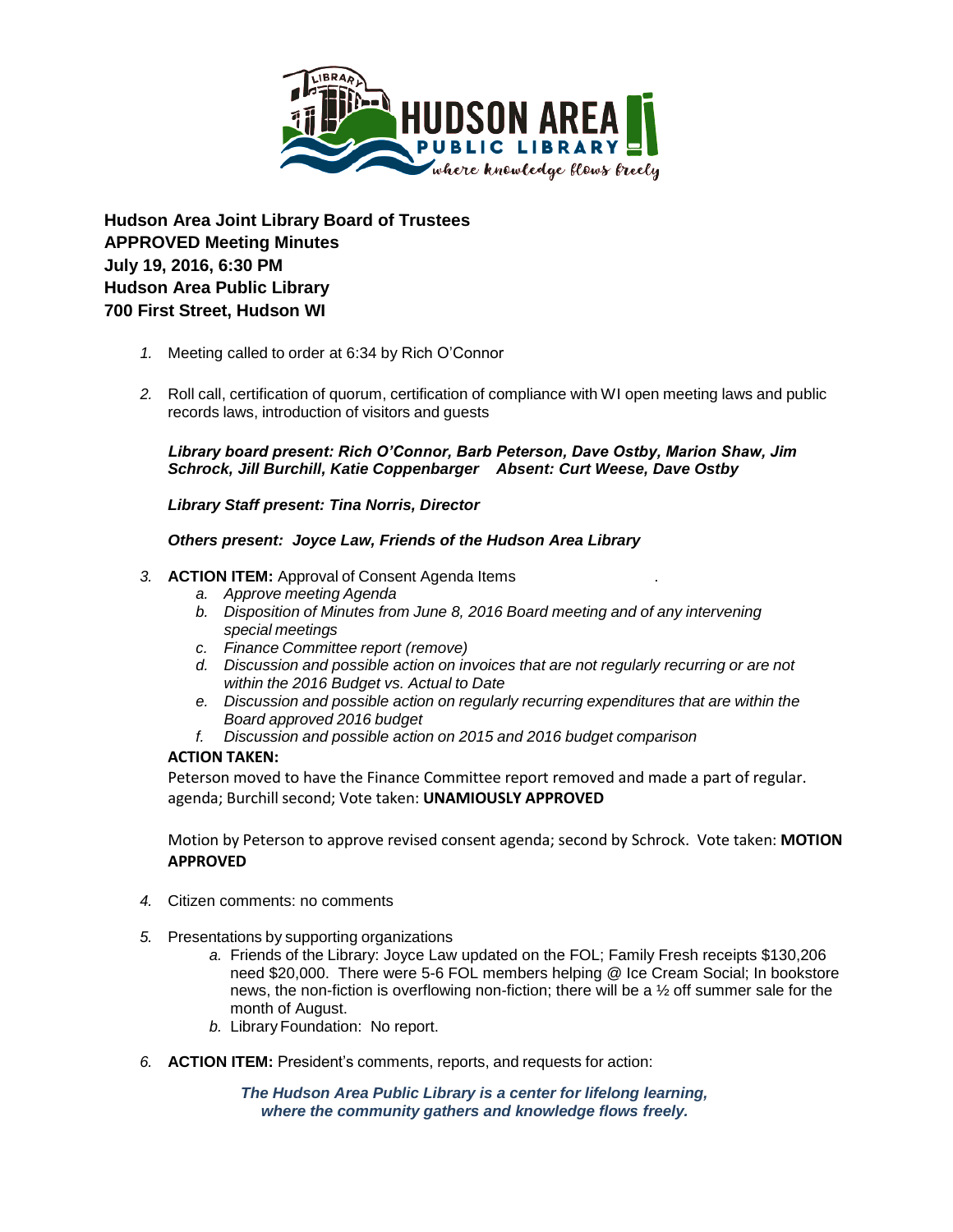

**Hudson Area Joint Library Board of Trustees APPROVED Meeting Minutes July 19, 2016, 6:30 PM Hudson Area Public Library 700 First Street, Hudson WI**

- *1.* Meeting called to order at 6:34 by Rich O'Connor
- *2.* Roll call, certification of quorum, certification of compliance with WI open meeting laws and public records laws, introduction of visitors and guests

*Library board present: Rich O'Connor, Barb Peterson, Dave Ostby, Marion Shaw, Jim Schrock, Jill Burchill, Katie Coppenbarger Absent: Curt Weese, Dave Ostby*

*Library Staff present: Tina Norris, Director*

### *Others present: Joyce Law, Friends of the Hudson Area Library*

### *3.* **ACTION ITEM:** Approval of Consent Agenda Items .

- *a. Approve meeting Agenda*
- *b. Disposition of Minutes from June 8, 2016 Board meeting and of any intervening special meetings*
- *c. Finance Committee report (remove)*
- *d. Discussion and possible action on invoices that are not regularly recurring or are not within the 2016 Budget vs. Actual to Date*
- *e. Discussion and possible action on regularly recurring expenditures that are within the Board approved 2016 budget*
- *f. Discussion and possible action on 2015 and 2016 budget comparison*

## **ACTION TAKEN:**

Peterson moved to have the Finance Committee report removed and made a part of regular. agenda; Burchill second; Vote taken: **UNAMIOUSLY APPROVED**

Motion by Peterson to approve revised consent agenda; second by Schrock. Vote taken: **MOTION APPROVED**

- *4.* Citizen comments: no comments
- *5.* Presentations by supporting organizations
	- *a.* Friends of the Library: Joyce Law updated on the FOL; Family Fresh receipts \$130,206 need \$20,000. There were 5-6 FOL members helping @ Ice Cream Social; In bookstore news, the non-fiction is overflowing non-fiction; there will be a ½ off summer sale for the month of August.
	- *b.* Library Foundation: No report.
- *6.* **ACTION ITEM:** President's comments, reports, and requests for action:

*The Hudson Area Public Library is a center for lifelong learning, where the community gathers and knowledge flows freely.*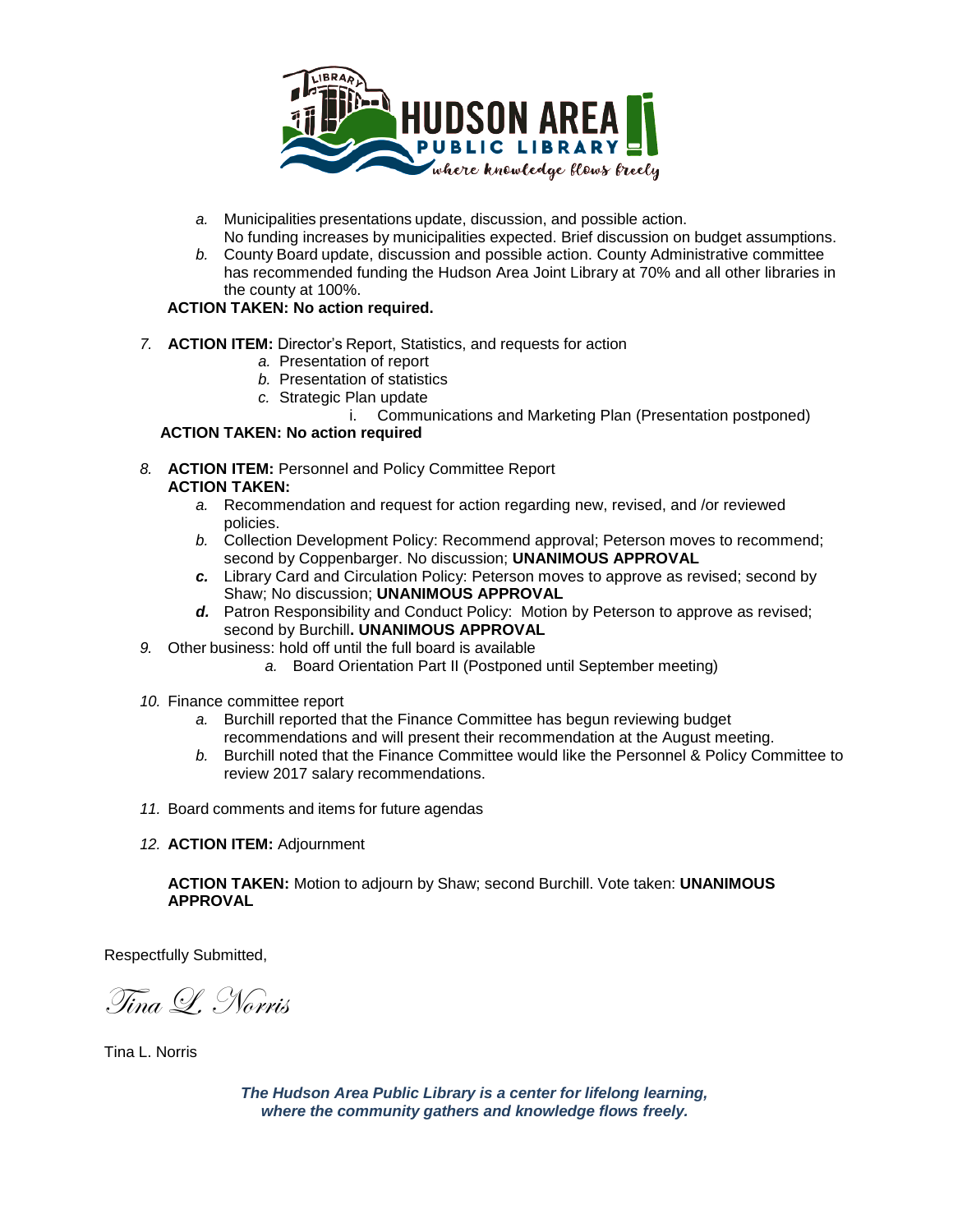

- *a.* Municipalities presentations update, discussion, and possible action. No funding increases by municipalities expected. Brief discussion on budget assumptions.
- *b.* County Board update, discussion and possible action. County Administrative committee has recommended funding the Hudson Area Joint Library at 70% and all other libraries in the county at 100%.

# **ACTION TAKEN: No action required.**

- *7.* **ACTION ITEM:** Director's Report, Statistics, and requests for action
	- *a.* Presentation of report
	- *b.* Presentation of statistics
	- *c.* Strategic Plan update
		- i. Communications and Marketing Plan (Presentation postponed)

## **ACTION TAKEN: No action required**

- *8.* **ACTION ITEM:** Personnel and Policy Committee Report **ACTION TAKEN:**
	- *a.* Recommendation and request for action regarding new, revised, and /or reviewed policies.
	- *b.* Collection Development Policy: Recommend approval; Peterson moves to recommend; second by Coppenbarger. No discussion; **UNANIMOUS APPROVAL**
	- *c.* Library Card and Circulation Policy: Peterson moves to approve as revised; second by Shaw; No discussion; **UNANIMOUS APPROVAL**
	- *d.* Patron Responsibility and Conduct Policy: Motion by Peterson to approve as revised; second by Burchill**. UNANIMOUS APPROVAL**
- *9.* Other business: hold off until the full board is available
	- *a.* Board Orientation Part II (Postponed until September meeting)
- *10.* Finance committee report
	- *a.* Burchill reported that the Finance Committee has begun reviewing budget recommendations and will present their recommendation at the August meeting.
	- *b.* Burchill noted that the Finance Committee would like the Personnel & Policy Committee to review 2017 salary recommendations.
- *11.* Board comments and items for future agendas
- *12.* **ACTION ITEM:** Adjournment

**ACTION TAKEN:** Motion to adjourn by Shaw; second Burchill. Vote taken: **UNANIMOUS APPROVAL**

Respectfully Submitted,

Tina L. Norris

Tina L. Norris

*The Hudson Area Public Library is a center for lifelong learning, where the community gathers and knowledge flows freely.*